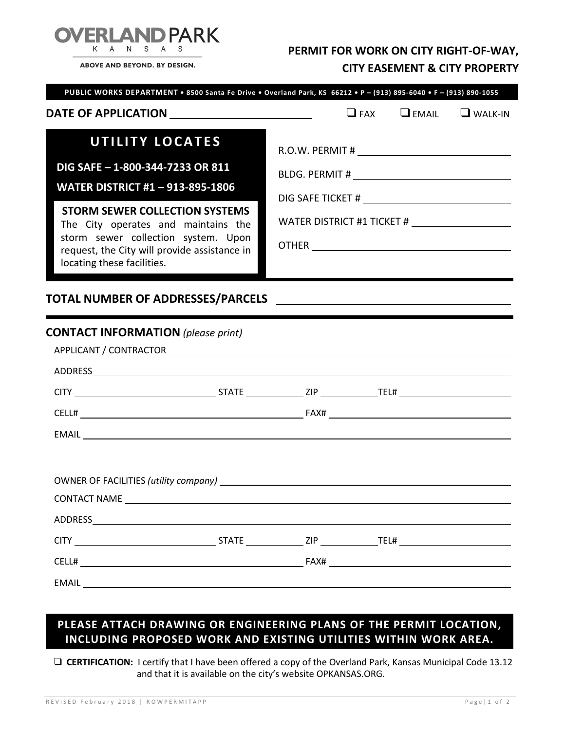

ABOVE AND BEYOND. BY DESIGN.

## **PERMIT FOR WORK ON CITY RIGHT-OF-WAY, CITY EASEMENT & CITY PROPERTY**

| DATE OF APPLICATION __________________________<br><b>UTILITY LOCATES</b><br>DIG SAFE - 1-800-344-7233 OR 811<br><b>WATER DISTRICT #1-913-895-1806</b><br><b>STORM SEWER COLLECTION SYSTEMS</b><br>The City operates and maintains the<br>storm sewer collection system. Upon<br>request, the City will provide assistance in<br>locating these facilities.<br>TOTAL NUMBER OF ADDRESSES/PARCELS | <u> 1989 - Johann Barn, mars ann an t-Amhainn an t-Amhainn an t-Amhainn an t-Amhainn an t-Amhainn an t-Amhainn an </u> |  | $\Box$ FAX $\Box$ EMAIL $\Box$ WALK-IN |  |  |  |
|-------------------------------------------------------------------------------------------------------------------------------------------------------------------------------------------------------------------------------------------------------------------------------------------------------------------------------------------------------------------------------------------------|------------------------------------------------------------------------------------------------------------------------|--|----------------------------------------|--|--|--|
| <b>CONTACT INFORMATION</b> (please print)                                                                                                                                                                                                                                                                                                                                                       |                                                                                                                        |  |                                        |  |  |  |
|                                                                                                                                                                                                                                                                                                                                                                                                 |                                                                                                                        |  |                                        |  |  |  |
|                                                                                                                                                                                                                                                                                                                                                                                                 |                                                                                                                        |  |                                        |  |  |  |
|                                                                                                                                                                                                                                                                                                                                                                                                 |                                                                                                                        |  |                                        |  |  |  |
|                                                                                                                                                                                                                                                                                                                                                                                                 |                                                                                                                        |  |                                        |  |  |  |
| OWNER OF FACILITIES (utility company) and the state of the state of the state of the state of the state of the state of the state of the state of the state of the state of the state of the state of the state of the state o<br>CONTACT NAME <b>CONTACT AND RESERVE ASSESSED</b>                                                                                                              |                                                                                                                        |  |                                        |  |  |  |
| ADDRESS AND ARRAIGNMENT CONTROL IN THE STATE OF THE STATE OF THE STATE OF THE STATE OF THE STATE OF THE STATE O                                                                                                                                                                                                                                                                                 |                                                                                                                        |  |                                        |  |  |  |
|                                                                                                                                                                                                                                                                                                                                                                                                 |                                                                                                                        |  |                                        |  |  |  |
|                                                                                                                                                                                                                                                                                                                                                                                                 |                                                                                                                        |  |                                        |  |  |  |
| EMAIL<br><u> 1980 - Johann Stoff, deutscher Stoff, der Stoff, der Stoff, der Stoff, der Stoff, der Stoff, der Stoff, der S</u>                                                                                                                                                                                                                                                                  |                                                                                                                        |  |                                        |  |  |  |

## **PLEASE ATTACH DRAWING OR ENGINEERING PLANS OF THE PERMIT LOCATION, INCLUDING PROPOSED WORK AND EXISTING UTILITIES WITHIN WORK AREA.**

 **CERTIFICATION:** I certify that I have been offered a copy of the Overland Park, Kansas Municipal Code 13.12 and that it is available on the city's website OPKANSAS.ORG.